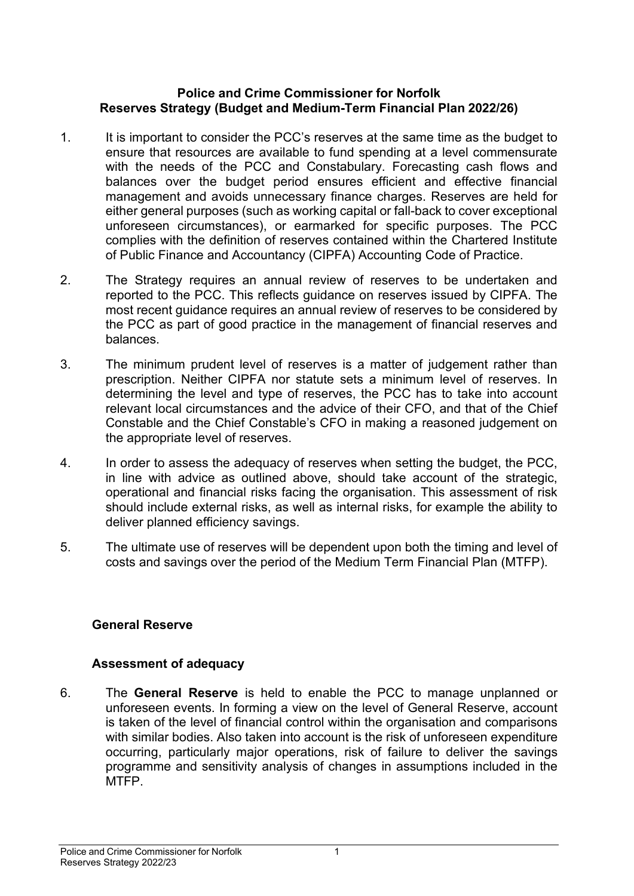### **Police and Crime Commissioner for Norfolk Reserves Strategy (Budget and Medium-Term Financial Plan 2022/26)**

- 1. It is important to consider the PCC's reserves at the same time as the budget to ensure that resources are available to fund spending at a level commensurate with the needs of the PCC and Constabulary. Forecasting cash flows and balances over the budget period ensures efficient and effective financial management and avoids unnecessary finance charges. Reserves are held for either general purposes (such as working capital or fall-back to cover exceptional unforeseen circumstances), or earmarked for specific purposes. The PCC complies with the definition of reserves contained within the Chartered Institute of Public Finance and Accountancy (CIPFA) Accounting Code of Practice.
- 2. The Strategy requires an annual review of reserves to be undertaken and reported to the PCC. This reflects guidance on reserves issued by CIPFA. The most recent guidance requires an annual review of reserves to be considered by the PCC as part of good practice in the management of financial reserves and balances.
- 3. The minimum prudent level of reserves is a matter of judgement rather than prescription. Neither CIPFA nor statute sets a minimum level of reserves. In determining the level and type of reserves, the PCC has to take into account relevant local circumstances and the advice of their CFO, and that of the Chief Constable and the Chief Constable's CFO in making a reasoned judgement on the appropriate level of reserves.
- 4. In order to assess the adequacy of reserves when setting the budget, the PCC, in line with advice as outlined above, should take account of the strategic, operational and financial risks facing the organisation. This assessment of risk should include external risks, as well as internal risks, for example the ability to deliver planned efficiency savings.
- 5. The ultimate use of reserves will be dependent upon both the timing and level of costs and savings over the period of the Medium Term Financial Plan (MTFP).

# **General Reserve**

### **Assessment of adequacy**

6. The **General Reserve** is held to enable the PCC to manage unplanned or unforeseen events. In forming a view on the level of General Reserve, account is taken of the level of financial control within the organisation and comparisons with similar bodies. Also taken into account is the risk of unforeseen expenditure occurring, particularly major operations, risk of failure to deliver the savings programme and sensitivity analysis of changes in assumptions included in the MTFP.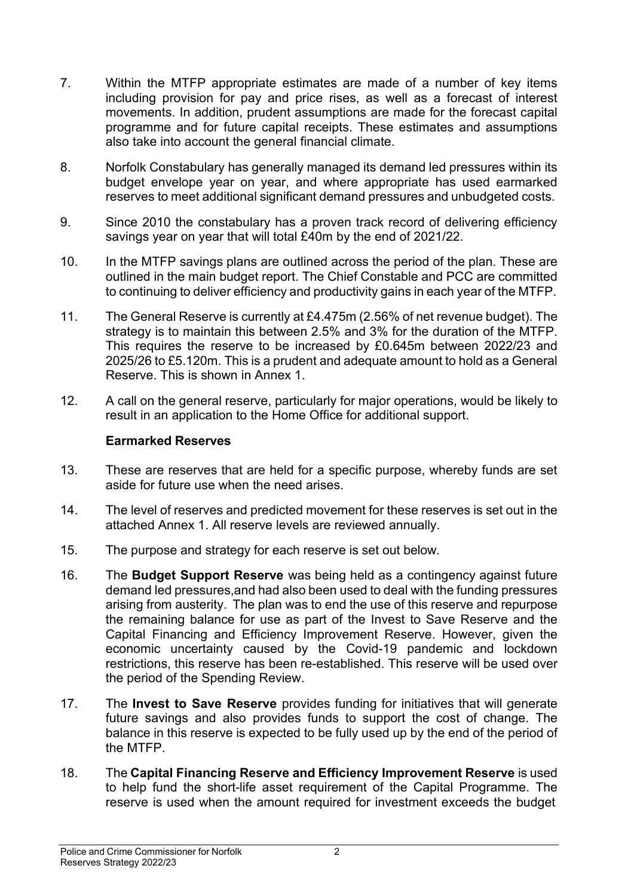- 7. Within the MTFP appropriate estimates are made of a number of key items including provision for pay and price rises, as well as a forecast of interest movements. In addition, prudent assumptions are made for the forecast capital programme and for future capital receipts. These estimates and assumptions also take into account the general financial climate.
- 8. Norfolk Constabulary has generally managed its demand led pressures within its budget envelope year on year, and where appropriate has used earmarked reserves to meet additional significant demand pressures and unbudgeted costs.
- 9. Since 2010 the constabulary has a proven track record of delivering efficiency savings year on year that will total £40m by the end of 2021/22.
- 10. In the MTFP savings plans are outlined across the period of the plan. These are outlined in the main budget report. The Chief Constable and PCC are committed to continuing to deliver efficiency and productivity gains in each year of the MTFP.
- 11. The General Reserve is currently at £4.475m (2.56% of net revenue budget). The strategy is to maintain this between 2.5% and 3% for the duration of the MTFP. This requires the reserve to be increased by £0.645m between 2022/23 and 2025/26 to £5.120m. This is a prudent and adequate amount to hold as a General Reserve. This is shown in Annex 1.
- 12. A call on the general reserve, particularly for major operations, would be likely to result in an application to the Home Office for additional support.

### **Earmarked Reserves**

- 13. These are reserves that are held for a specific purpose, whereby funds are set aside for future use when the need arises.
- 14. The level of reserves and predicted movement for these reserves is set out in the attached Annex 1. All reserve levels are reviewed annually.
- 15. The purpose and strategy for each reserve is set out below.
- 16. The **Budget Support Reserve** was being held as a contingency against future demand led pressures,and had also been used to deal with the funding pressures arising from austerity. The plan was to end the use of this reserve and repurpose the remaining balance for use as part of the Invest to Save Reserve and the Capital Financing and Efficiency Improvement Reserve. However, given the economic uncertainty caused by the Covid-19 pandemic and lockdown restrictions, this reserve has been re-established. This reserve will be used over the period of the Spending Review.
- 17. The **Invest to Save Reserve** provides funding for initiatives that will generate future savings and also provides funds to support the cost of change. The balance in this reserve is expected to be fully used up by the end of the period of the MTFP.
- 18. The **Capital Financing Reserve and Efficiency Improvement Reserve** is used to help fund the short-life asset requirement of the Capital Programme. The reserve is used when the amount required for investment exceeds the budget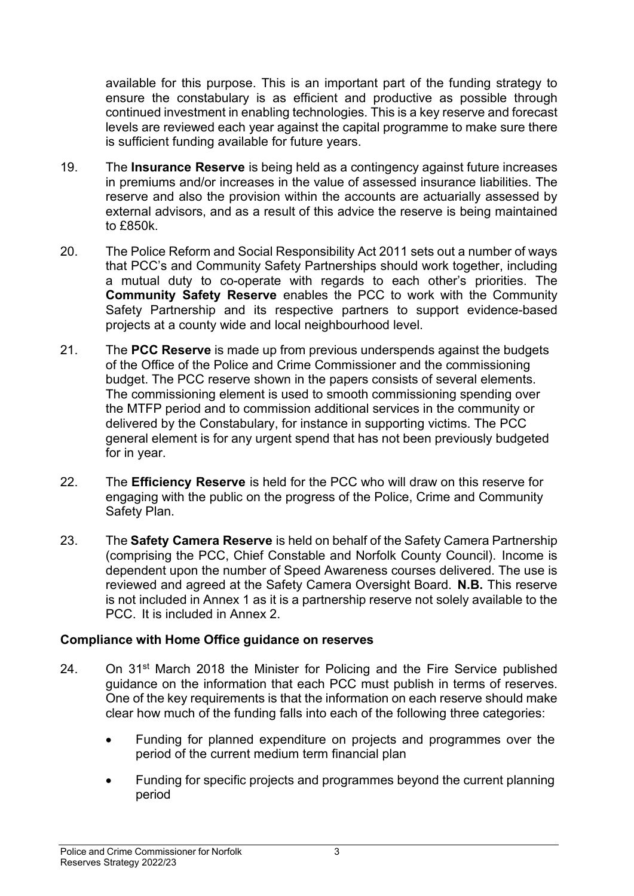available for this purpose. This is an important part of the funding strategy to ensure the constabulary is as efficient and productive as possible through continued investment in enabling technologies. This is a key reserve and forecast levels are reviewed each year against the capital programme to make sure there is sufficient funding available for future years.

- 19. The **Insurance Reserve** is being held as a contingency against future increases in premiums and/or increases in the value of assessed insurance liabilities. The reserve and also the provision within the accounts are actuarially assessed by external advisors, and as a result of this advice the reserve is being maintained to £850k.
- 20. The Police Reform and Social Responsibility Act 2011 sets out a number of ways that PCC's and Community Safety Partnerships should work together, including a mutual duty to co-operate with regards to each other's priorities. The **Community Safety Reserve** enables the PCC to work with the Community Safety Partnership and its respective partners to support evidence-based projects at a county wide and local neighbourhood level.
- 21. The **PCC Reserve** is made up from previous underspends against the budgets of the Office of the Police and Crime Commissioner and the commissioning budget. The PCC reserve shown in the papers consists of several elements. The commissioning element is used to smooth commissioning spending over the MTFP period and to commission additional services in the community or delivered by the Constabulary, for instance in supporting victims. The PCC general element is for any urgent spend that has not been previously budgeted for in year.
- 22. The **Efficiency Reserve** is held for the PCC who will draw on this reserve for engaging with the public on the progress of the Police, Crime and Community Safety Plan.
- 23. The **Safety Camera Reserve** is held on behalf of the Safety Camera Partnership (comprising the PCC, Chief Constable and Norfolk County Council). Income is dependent upon the number of Speed Awareness courses delivered. The use is reviewed and agreed at the Safety Camera Oversight Board. **N.B.** This reserve is not included in Annex 1 as it is a partnership reserve not solely available to the PCC. It is included in Annex 2.

### **Compliance with Home Office guidance on reserves**

- 24. On 31<sup>st</sup> March 2018 the Minister for Policing and the Fire Service published guidance on the information that each PCC must publish in terms of reserves. One of the key requirements is that the information on each reserve should make clear how much of the funding falls into each of the following three categories:
	- Funding for planned expenditure on projects and programmes over the period of the current medium term financial plan
	- Funding for specific projects and programmes beyond the current planning period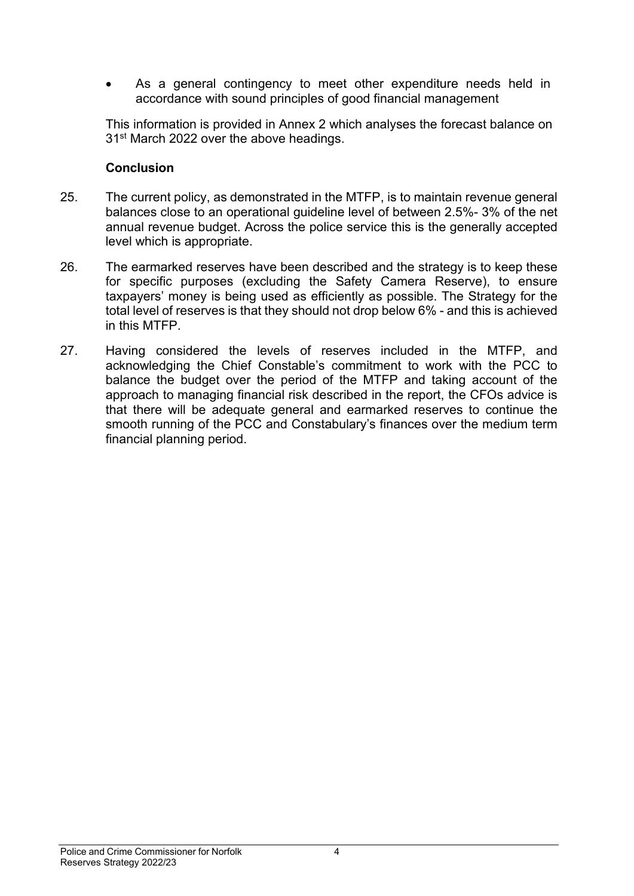As a general contingency to meet other expenditure needs held in accordance with sound principles of good financial management

This information is provided in Annex 2 which analyses the forecast balance on 31<sup>st</sup> March 2022 over the above headings.

### **Conclusion**

- 25. The current policy, as demonstrated in the MTFP, is to maintain revenue general balances close to an operational guideline level of between 2.5%- 3% of the net annual revenue budget. Across the police service this is the generally accepted level which is appropriate.
- 26. The earmarked reserves have been described and the strategy is to keep these for specific purposes (excluding the Safety Camera Reserve), to ensure taxpayers' money is being used as efficiently as possible. The Strategy for the total level of reserves is that they should not drop below 6% - and this is achieved in this MTFP.
- 27. Having considered the levels of reserves included in the MTFP, and acknowledging the Chief Constable's commitment to work with the PCC to balance the budget over the period of the MTFP and taking account of the approach to managing financial risk described in the report, the CFOs advice is that there will be adequate general and earmarked reserves to continue the smooth running of the PCC and Constabulary's finances over the medium term financial planning period.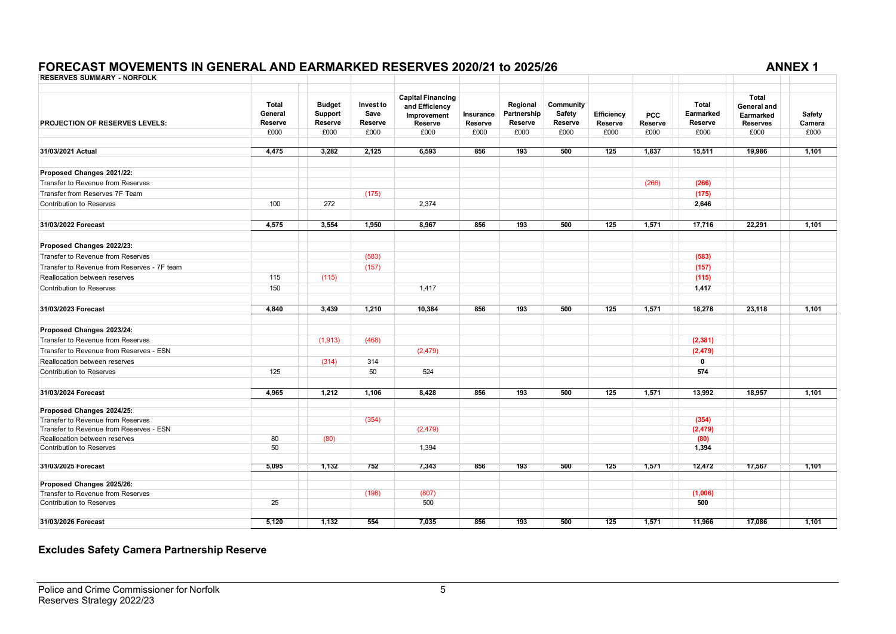#### **FORECAST MOVEMENTS IN GENERAL AND EARMARKED RESERVES 2020/21 to 2025/26 ANNEX 1**

| <b>RESERVES SUMMARY - NORFOLK</b>           |                         |                          |                   |                               |           |                         |                     |            |            |                           |                          |        |
|---------------------------------------------|-------------------------|--------------------------|-------------------|-------------------------------|-----------|-------------------------|---------------------|------------|------------|---------------------------|--------------------------|--------|
|                                             |                         |                          |                   |                               |           |                         |                     |            |            |                           |                          |        |
|                                             |                         |                          |                   | <b>Capital Financing</b>      |           |                         |                     |            |            |                           | <b>Total</b>             |        |
|                                             | <b>Total</b><br>General | <b>Budget</b><br>Support | Invest to<br>Save | and Efficiency<br>Improvement | Insurance | Regional<br>Partnership | Community<br>Safety | Efficiency | <b>PCC</b> | <b>Total</b><br>Earmarked | General and<br>Earmarked | Safety |
| <b>PROJECTION OF RESERVES LEVELS:</b>       | Reserve                 | Reserve                  | Reserve           | Reserve                       | Reserve   | Reserve                 | Reserve             | Reserve    | Reserve    | Reserve                   | <b>Reserves</b>          | Camera |
|                                             | £000                    | £000                     | £000              | £000                          | £000      | £000                    | £000                | £000       | £000       | £000                      | £000                     | £000   |
|                                             |                         |                          |                   |                               |           |                         |                     |            |            |                           |                          |        |
| 31/03/2021 Actual                           | 4,475                   | 3,282                    | 2,125             | 6,593                         | 856       | 193                     | 500                 | 125        | 1.837      | 15,511                    | 19.986                   | 1,101  |
| Proposed Changes 2021/22:                   |                         |                          |                   |                               |           |                         |                     |            |            |                           |                          |        |
| Transfer to Revenue from Reserves           |                         |                          |                   |                               |           |                         |                     |            | (266)      | (266)                     |                          |        |
| Transfer from Reserves 7F Team              |                         |                          | (175)             |                               |           |                         |                     |            |            | (175)                     |                          |        |
| <b>Contribution to Reserves</b>             | 100                     | 272                      |                   | 2,374                         |           |                         |                     |            |            | 2,646                     |                          |        |
| 31/03/2022 Forecast                         | 4,575                   | 3,554                    | 1,950             | 8.967                         | 856       | 193                     | 500                 | 125        | 1,571      | 17,716                    | 22.291                   | 1,101  |
|                                             |                         |                          |                   |                               |           |                         |                     |            |            |                           |                          |        |
| Proposed Changes 2022/23:                   |                         |                          |                   |                               |           |                         |                     |            |            |                           |                          |        |
| Transfer to Revenue from Reserves           |                         |                          | (583)             |                               |           |                         |                     |            |            | (583)                     |                          |        |
| Transfer to Revenue from Reserves - 7F team |                         |                          | (157)             |                               |           |                         |                     |            |            | (157)                     |                          |        |
| Reallocation between reserves               | 115                     | (115)                    |                   |                               |           |                         |                     |            |            | (115)                     |                          |        |
| <b>Contribution to Reserves</b>             | 150                     |                          |                   | 1,417                         |           |                         |                     |            |            | 1,417                     |                          |        |
| 31/03/2023 Forecast                         | 4,840                   | 3,439                    | 1,210             | 10,384                        | 856       | 193                     | 500                 | 125        | 1,571      | 18,278                    | 23,118                   | 1,101  |
|                                             |                         |                          |                   |                               |           |                         |                     |            |            |                           |                          |        |
| Proposed Changes 2023/24:                   |                         |                          |                   |                               |           |                         |                     |            |            |                           |                          |        |
| Transfer to Revenue from Reserves           |                         | (1, 913)                 | (468)             |                               |           |                         |                     |            |            | (2, 381)                  |                          |        |
| Transfer to Revenue from Reserves - ESN     |                         |                          |                   | (2, 479)                      |           |                         |                     |            |            | (2, 479)                  |                          |        |
| Reallocation between reserves               |                         | (314)                    | 314               |                               |           |                         |                     |            |            | $\mathbf 0$               |                          |        |
| <b>Contribution to Reserves</b>             | 125                     |                          | 50                | 524                           |           |                         |                     |            |            | 574                       |                          |        |
| 31/03/2024 Forecast                         | 4,965                   | 1,212                    | 1,106             | 8,428                         | 856       | 193                     | 500                 | 125        | 1,571      | 13,992                    | 18,957                   | 1,101  |
| Proposed Changes 2024/25:                   |                         |                          |                   |                               |           |                         |                     |            |            |                           |                          |        |
| Transfer to Revenue from Reserves           |                         |                          | (354)             |                               |           |                         |                     |            |            | (354)                     |                          |        |
| Transfer to Revenue from Reserves - ESN     |                         |                          |                   | (2, 479)                      |           |                         |                     |            |            | (2, 479)                  |                          |        |
| Reallocation between reserves               | 80                      | (80)                     |                   |                               |           |                         |                     |            |            | (80)                      |                          |        |
| <b>Contribution to Reserves</b>             | 50                      |                          |                   | 1,394                         |           |                         |                     |            |            | 1,394                     |                          |        |
| 31/03/2025 Forecast                         | 5,095                   | 1,132                    | 752               | 7,343                         | 856       | 193                     | 500                 | 125        | 1,571      | 12,472                    | 17,567                   | 1,101  |
| Proposed Changes 2025/26:                   |                         |                          |                   |                               |           |                         |                     |            |            |                           |                          |        |
| Transfer to Revenue from Reserves           |                         |                          | (198)             | (807)                         |           |                         |                     |            |            | (1,006)                   |                          |        |
| Contribution to Reserves                    | 25                      |                          |                   | 500                           |           |                         |                     |            |            | 500                       |                          |        |
| 31/03/2026 Forecast                         | 5,120                   | 1,132                    | 554               | 7,035                         | 856       | 193                     | 500                 | 125        | 1,571      | 11,966                    | 17,086                   | 1,101  |

#### **Excludes Safety Camera Partnership Reserve**